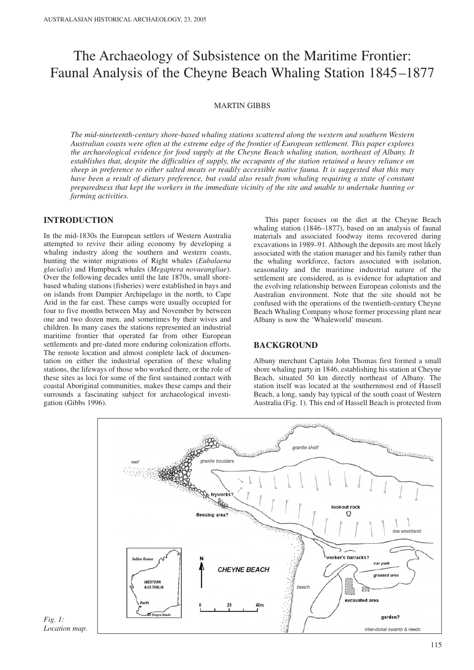# The Archaeology of Subsistence on the Maritime Frontier: Faunal Analysis of the Cheyne Beach Whaling Station 1845–1877

# MARTIN GIBBS

*The mid-nineteenth-century shore-based whaling stations scattered along the western and southern Western Australian coasts were often at the extreme edge of the frontier of European settlement. This paper explores the archaeological evidence for food supply at the Cheyne Beach whaling station, northeast of Albany. It establishes that, despite the difficulties of supply, the occupants of the station retained a heavy reliance on sheep in preference to either salted meats or readily accessible native fauna. It is suggested that this may have been a result of dietary preference, but could also result from whaling requiring a state of constant preparedness that kept the workers in the immediate vicinity of the site and unable to undertake hunting or farming activities.* 

# **INTRODUCTION**

In the mid-1830s the European settlers of Western Australia attempted to revive their ailing economy by developing a whaling industry along the southern and western coasts, hunting the winter migrations of Right whales (*Eubalaena glacialis*) and Humpback whales (*Megaptera novaeangliae*). Over the following decades until the late 1870s, small shorebased whaling stations (fisheries) were established in bays and on islands from Dampier Archipelago in the north, to Cape Arid in the far east. These camps were usually occupied for four to five months between May and November by between one and two dozen men, and sometimes by their wives and children. In many cases the stations represented an industrial maritime frontier that operated far from other European settlements and pre-dated more enduring colonization efforts. The remote location and almost complete lack of documentation on either the industrial operation of these whaling stations, the lifeways of those who worked there, or the role of these sites as loci for some of the first sustained contact with coastal Aboriginal communities, makes these camps and their surrounds a fascinating subject for archaeological investigation (Gibbs 1996).

This paper focuses on the diet at the Cheyne Beach whaling station (1846–1877), based on an analysis of faunal materials and associated foodway items recovered during excavations in 1989–91. Although the deposits are most likely associated with the station manager and his family rather than the whaling workforce, factors associated with isolation, seasonality and the maritime industrial nature of the settlement are considered, as is evidence for adaptation and the evolving relationship between European colonists and the Australian environment. Note that the site should not be confused with the operations of the twentieth-century Cheyne Beach Whaling Company whose former processing plant near Albany is now the 'Whaleworld' museum.

# **BACKGROUND**

Albany merchant Captain John Thomas first formed a small shore whaling party in 1846, establishing his station at Cheyne Beach, situated 50 km directly northeast of Albany. The station itself was located at the southernmost end of Hassell Beach, a long, sandy bay typical of the south coast of Western Australia (Fig. 1). This end of Hassell Beach is protected from



*Fig. 1: Location map.*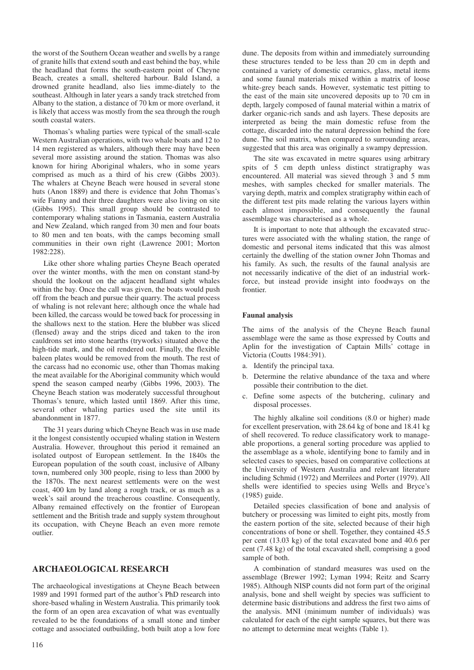the worst of the Southern Ocean weather and swells by a range of granite hills that extend south and east behind the bay, while the headland that forms the south-eastern point of Cheyne Beach, creates a small, sheltered harbour. Bald Island, a drowned granite headland, also lies imme-diately to the southeast. Although in later years a sandy track stretched from Albany to the station, a distance of 70 km or more overland, it is likely that access was mostly from the sea through the rough south coastal waters.

Thomas's whaling parties were typical of the small-scale Western Australian operations, with two whale boats and 12 to 14 men registered as whalers, although there may have been several more assisting around the station. Thomas was also known for hiring Aboriginal whalers, who in some years comprised as much as a third of his crew (Gibbs 2003). The whalers at Cheyne Beach were housed in several stone huts (Anon 1889) and there is evidence that John Thomas's wife Fanny and their three daughters were also living on site (Gibbs 1995). This small group should be contrasted to contemporary whaling stations in Tasmania, eastern Australia and New Zealand, which ranged from 30 men and four boats to 80 men and ten boats, with the camps becoming small communities in their own right (Lawrence 2001; Morton 1982:228).

Like other shore whaling parties Cheyne Beach operated over the winter months, with the men on constant stand-by should the lookout on the adjacent headland sight whales within the bay. Once the call was given, the boats would push off from the beach and pursue their quarry. The actual process of whaling is not relevant here; although once the whale had been killed, the carcass would be towed back for processing in the shallows next to the station. Here the blubber was sliced (flensed) away and the strips diced and taken to the iron cauldrons set into stone hearths (tryworks) situated above the high-tide mark, and the oil rendered out. Finally, the flexible baleen plates would be removed from the mouth. The rest of the carcass had no economic use, other than Thomas making the meat available for the Aboriginal community which would spend the season camped nearby (Gibbs 1996, 2003). The Cheyne Beach station was moderately successful throughout Thomas's tenure, which lasted until 1869. After this time, several other whaling parties used the site until its abandonment in 1877.

The 31 years during which Cheyne Beach was in use made it the longest consistently occupied whaling station in Western Australia. However, throughout this period it remained an isolated outpost of European settlement. In the 1840s the European population of the south coast, inclusive of Albany town, numbered only 300 people, rising to less than 2000 by the 1870s. The next nearest settlements were on the west coast, 400 km by land along a rough track, or as much as a week's sail around the treacherous coastline. Consequently, Albany remained effectively on the frontier of European settlement and the British trade and supply system throughout its occupation, with Cheyne Beach an even more remote outlier.

# **ARCHAEOLOGICAL RESEARCH**

The archaeological investigations at Cheyne Beach between 1989 and 1991 formed part of the author's PhD research into shore-based whaling in Western Australia. This primarily took the form of an open area excavation of what was eventually revealed to be the foundations of a small stone and timber cottage and associated outbuilding, both built atop a low fore dune. The deposits from within and immediately surrounding these structures tended to be less than 20 cm in depth and contained a variety of domestic ceramics, glass, metal items and some faunal materials mixed within a matrix of loose white-grey beach sands. However, systematic test pitting to the east of the main site uncovered deposits up to 70 cm in depth, largely composed of faunal material within a matrix of darker organic-rich sands and ash layers. These deposits are interpreted as being the main domestic refuse from the cottage, discarded into the natural depression behind the fore dune. The soil matrix, when compared to surrounding areas, suggested that this area was originally a swampy depression.

The site was excavated in metre squares using arbitrary spits of 5 cm depth unless distinct stratigraphy was encountered. All material was sieved through 3 and 5 mm meshes, with samples checked for smaller materials. The varying depth, matrix and complex stratigraphy within each of the different test pits made relating the various layers within each almost impossible, and consequently the faunal assemblage was characterised as a whole.

It is important to note that although the excavated structures were associated with the whaling station, the range of domestic and personal items indicated that this was almost certainly the dwelling of the station owner John Thomas and his family. As such, the results of the faunal analysis are not necessarily indicative of the diet of an industrial workforce, but instead provide insight into foodways on the frontier.

#### **Faunal analysis**

The aims of the analysis of the Cheyne Beach faunal assemblage were the same as those expressed by Coutts and Aplin for the investigation of Captain Mills' cottage in Victoria (Coutts 1984:391).

- a. Identify the principal taxa.
- b. Determine the relative abundance of the taxa and where possible their contribution to the diet.
- c. Define some aspects of the butchering, culinary and disposal processes.

The highly alkaline soil conditions (8.0 or higher) made for excellent preservation, with 28.64 kg of bone and 18.41 kg of shell recovered. To reduce classificatory work to manageable proportions, a general sorting procedure was applied to the assemblage as a whole, identifying bone to family and in selected cases to species, based on comparative collections at the University of Western Australia and relevant literature including Schmid (1972) and Merrilees and Porter (1979). All shells were identified to species using Wells and Bryce's (1985) guide.

Detailed species classification of bone and analysis of butchery or processing was limited to eight pits, mostly from the eastern portion of the site, selected because of their high concentrations of bone or shell. Together, they contained 45.5 per cent (13.03 kg) of the total excavated bone and 40.6 per cent (7.48 kg) of the total excavated shell, comprising a good sample of both.

A combination of standard measures was used on the assemblage (Brewer 1992; Lyman 1994; Reitz and Scarry 1985). Although NISP counts did not form part of the original analysis, bone and shell weight by species was sufficient to determine basic distributions and address the first two aims of the analysis. MNI (minimum number of individuals) was calculated for each of the eight sample squares, but there was no attempt to determine meat weights (Table 1).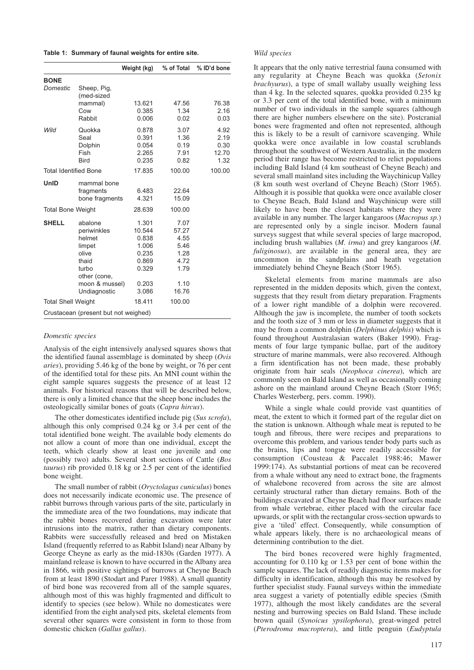**Table 1: Summary of faunal weights for entire site.**

|                              |                                      | Weight (kg)    | % of Total   | % ID'd bone  |
|------------------------------|--------------------------------------|----------------|--------------|--------------|
| <b>BONE</b>                  |                                      |                |              |              |
| Domestic                     | Sheep, Pig,<br>(med-sized            |                |              |              |
|                              | mammal)                              | 13.621         | 47.56        | 76.38        |
|                              | Cow<br>Rabbit                        | 0.385<br>0.006 | 1.34<br>0.02 | 2.16<br>0.03 |
|                              |                                      |                |              |              |
| Wild                         | Quokka                               | 0.878          | 3.07         | 4.92         |
|                              | Seal                                 | 0.391          | 1.36         | 2.19         |
|                              | Dolphin                              | 0.054          | 0.19         | 0.30         |
|                              | Fish                                 | 2.265          | 7.91         | 12.70        |
|                              | <b>Bird</b>                          | 0.235          | 0.82         | 1.32         |
| <b>Total Identified Bone</b> |                                      | 17.835         | 100.00       | 100.00       |
| UnID                         | mammal bone                          |                |              |              |
|                              | fragments                            | 6.483          | 22.64        |              |
|                              | bone fragments                       | 4.321          | 15.09        |              |
| <b>Total Bone Weight</b>     |                                      | 28.639         | 100.00       |              |
| <b>SHELL</b>                 | abalone                              | 1.301          | 7.07         |              |
|                              | periwinkles                          | 10.544         | 57.27        |              |
|                              | helmet                               | 0.838          | 4.55         |              |
|                              | limpet                               | 1.006          | 5.46         |              |
|                              | olive                                | 0.235          | 1.28         |              |
|                              | thaid                                | 0.869          | 4.72         |              |
|                              | turbo                                | 0.329          | 1.79         |              |
|                              | other (cone,                         |                |              |              |
|                              | moon & mussel)                       | 0.203          | 1.10         |              |
|                              | Undiagnostic                         | 3.086          | 16.76        |              |
| <b>Total Shell Weight</b>    |                                      | 18.411         | 100.00       |              |
|                              | Crustacean (present but not weighed) |                |              |              |

#### *Domestic species*

Analysis of the eight intensively analysed squares shows that the identified faunal assemblage is dominated by sheep (*Ovis aries*), providing 5.46 kg of the bone by weight, or 76 per cent of the identified total for these pits. An MNI count within the eight sample squares suggests the presence of at least 12 animals. For historical reasons that will be described below, there is only a limited chance that the sheep bone includes the osteologically similar bones of goats (*Capra hircus*).

The other domesticates identified include pig (*Sus scrofa*), although this only comprised 0.24 kg or 3.4 per cent of the total identified bone weight. The available body elements do not allow a count of more than one individual, except the teeth, which clearly show at least one juvenile and one (possibly two) adults. Several short sections of Cattle (*Bos taurus*) rib provided 0.18 kg or 2.5 per cent of the identified bone weight.

The small number of rabbit (*Oryctolagus cuniculus*) bones does not necessarily indicate economic use. The presence of rabbit burrows through various parts of the site, particularly in the immediate area of the two foundations, may indicate that the rabbit bones recovered during excavation were later intrusions into the matrix, rather than dietary components. Rabbits were successfully released and bred on Mistaken Island (frequently referred to as Rabbit Island) near Albany by George Cheyne as early as the mid-1830s (Garden 1977). A mainland release is known to have occurred in the Albany area in 1866, with positive sightings of burrows at Cheyne Beach from at least 1890 (Stodart and Parer 1988). A small quantity of bird bone was recovered from all of the sample squares, although most of this was highly fragmented and difficult to identify to species (see below). While no domesticates were identified from the eight analysed pits, skeletal elements from several other squares were consistent in form to those from domestic chicken (*Gallus gallus*).

#### *Wild species*

It appears that the only native terrestrial fauna consumed with any regularity at Cheyne Beach was quokka (*Setonix brachyurus*), a type of small wallaby usually weighing less than 4 kg. In the selected squares, quokka provided 0.235 kg or 3.3 per cent of the total identified bone, with a minimum number of two individuals in the sample squares (although there are higher numbers elsewhere on the site). Postcranial bones were fragmented and often not represented, although this is likely to be a result of carnivore scavenging. While quokka were once available in low coastal scrublands throughout the southwest of Western Australia, in the modern period their range has become restricted to relict populations including Bald Island (4 km southeast of Cheyne Beach) and several small mainland sites including the Waychinicup Valley (8 km south west overland of Cheyne Beach) (Storr 1965). Although it is possible that quokka were once available closer to Cheyne Beach, Bald Island and Waychinicup were still likely to have been the closest habitats where they were available in any number. The larger kangaroos (*Macropus sp.*) are represented only by a single incisor. Modern faunal surveys suggest that while several species of large macropod, including brush wallabies (*M. irma*) and grey kangaroos (*M. fuliginosus*), are available in the general area, they are uncommon in the sandplains and heath vegetation immediately behind Cheyne Beach (Storr 1965).

Skeletal elements from marine mammals are also represented in the midden deposits which, given the context, suggests that they result from dietary preparation. Fragments of a lower right mandible of a dolphin were recovered. Although the jaw is incomplete, the number of tooth sockets and the tooth size of 3 mm or less in diameter suggests that it may be from a common dolphin (*Delphinus delphis*) which is found throughout Australasian waters (Baker 1990). Fragments of four large tympanic bullae, part of the auditory structure of marine mammals, were also recovered. Although a firm identification has not been made, these probably originate from hair seals (*Neophoca cinerea*), which are commonly seen on Bald Island as well as occasionally coming ashore on the mainland around Cheyne Beach (Storr 1965; Charles Westerberg, pers. comm. 1990).

While a single whale could provide vast quantities of meat, the extent to which it formed part of the regular diet on the station is unknown. Although whale meat is reputed to be tough and fibrous, there were recipes and preparations to overcome this problem, and various tender body parts such as the brains, lips and tongue were readily accessible for consumption (Cousteau & Paccalet 1988:46; Mawer 1999:174). As substantial portions of meat can be recovered from a whale without any need to extract bone, the fragments of whalebone recovered from across the site are almost certainly structural rather than dietary remains. Both of the buildings excavated at Cheyne Beach had floor surfaces made from whale vertebrae, either placed with the circular face upwards, or split with the rectangular cross-section upwards to give a 'tiled' effect. Consequently, while consumption of whale appears likely, there is no archaeological means of determining contribution to the diet.

The bird bones recovered were highly fragmented, accounting for 0.110 kg or 1.53 per cent of bone within the sample squares. The lack of readily diagnostic items makes for difficulty in identification, although this may be resolved by further specialist study. Faunal surveys within the immediate area suggest a variety of potentially edible species (Smith 1977), although the most likely candidates are the several nesting and burrowing species on Bald Island. These include brown quail (*Synoicus ypsilophora*), great-winged petrel (*Pterodroma macroptera*), and little penguin (*Eudyptula*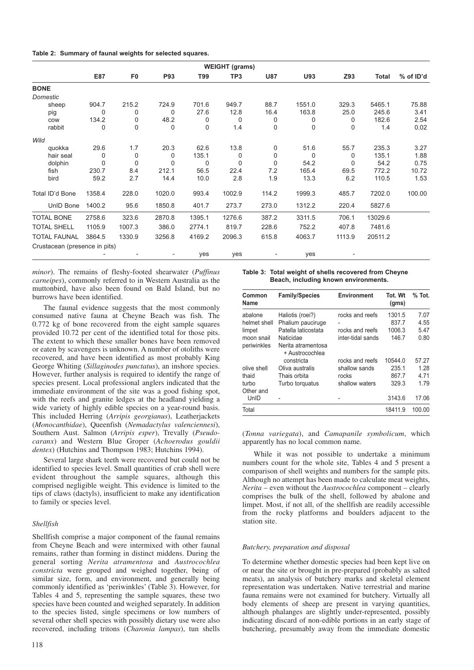| <b>WEIGHT (grams)</b>         |              |                |             |          |          |             |          |          |              |           |
|-------------------------------|--------------|----------------|-------------|----------|----------|-------------|----------|----------|--------------|-----------|
|                               | E87          | F <sub>0</sub> | <b>P93</b>  | T99      | TP3      | <b>U87</b>  | U93      | Z93      | <b>Total</b> | % of ID'd |
| <b>BONE</b>                   |              |                |             |          |          |             |          |          |              |           |
| Domestic                      |              |                |             |          |          |             |          |          |              |           |
| sheep                         | 904.7        | 215.2          | 724.9       | 701.6    | 949.7    | 88.7        | 1551.0   | 329.3    | 5465.1       | 75.88     |
| pig                           | $\Omega$     | 0              | 0           | 27.6     | 12.8     | 16.4        | 163.8    | 25.0     | 245.6        | 3.41      |
| COW                           | 134.2        | 0              | 48.2        | $\Omega$ | 0        | 0           | 0        | 0        | 182.6        | 2.54      |
| rabbit                        | 0            | $\mathbf 0$    | $\mathbf 0$ | 0        | 1.4      | 0           | $\Omega$ | 0        | 1.4          | 0.02      |
| Wild                          |              |                |             |          |          |             |          |          |              |           |
| quokka                        | 29.6         | 1.7            | 20.3        | 62.6     | 13.8     | 0           | 51.6     | 55.7     | 235.3        | 3.27      |
| hair seal                     | $\Omega$     | 0              | $\mathbf 0$ | 135.1    | 0        | 0           | $\Omega$ | 0        | 135.1        | 1.88      |
| dolphin                       | $\mathbf{0}$ | $\mathbf 0$    | $\Omega$    | $\Omega$ | $\Omega$ | $\mathbf 0$ | 54.2     | $\Omega$ | 54.2         | 0.75      |
| fish                          | 230.7        | 8.4            | 212.1       | 56.5     | 22.4     | 7.2         | 165.4    | 69.5     | 772.2        | 10.72     |
| bird                          | 59.2         | 2.7            | 14.4        | 10.0     | 2.8      | 1.9         | 13.3     | 6.2      | 110.5        | 1.53      |
| Total ID'd Bone               | 1358.4       | 228.0          | 1020.0      | 993.4    | 1002.9   | 114.2       | 1999.3   | 485.7    | 7202.0       | 100.00    |
| UnID Bone                     | 1400.2       | 95.6           | 1850.8      | 401.7    | 273.7    | 273.0       | 1312.2   | 220.4    | 5827.6       |           |
| <b>TOTAL BONE</b>             | 2758.6       | 323.6          | 2870.8      | 1395.1   | 1276.6   | 387.2       | 3311.5   | 706.1    | 13029.6      |           |
| <b>TOTAL SHELL</b>            | 1105.9       | 1007.3         | 386.0       | 2774.1   | 819.7    | 228.6       | 752.2    | 407.8    | 7481.6       |           |
| <b>TOTAL FAUNAL</b>           | 3864.5       | 1330.9         | 3256.8      | 4169.2   | 2096.3   | 615.8       | 4063.7   | 1113.9   | 20511.2      |           |
| Crustacean (presence in pits) |              |                |             |          |          |             |          |          |              |           |
|                               |              |                | ۰           | yes      | yes      |             | yes      |          |              |           |

*minor*). The remains of fleshy-footed shearwater (*Puffinus carneipes*), commonly referred to in Western Australia as the muttonbird, have also been found on Bald Island, but no burrows have been identified.

The faunal evidence suggests that the most commonly consumed native fauna at Cheyne Beach was fish. The 0.772 kg of bone recovered from the eight sample squares provided 10.72 per cent of the identified total for those pits. The extent to which these smaller bones have been removed or eaten by scavengers is unknown. A number of otoliths were recovered, and have been identified as most probably King George Whiting (*Sillaginodes punctatus*), an inshore species. However, further analysis is required to identify the range of species present. Local professional anglers indicated that the immediate environment of the site was a good fishing spot, with the reefs and granite ledges at the headland yielding a wide variety of highly edible species on a year-round basis. This included Herring (*Arripis georgianus*), Leatherjackets (*Monocanthidae*), Queenfish (*Nemadactylus valenciennesi*), Southern Aust. Salmon (*Arripis esper*), Trevally (*Pseudocaranx*) and Western Blue Groper (*Achoerodus gouldii dentex*) (Hutchins and Thompson 1983; Hutchins 1994).

Several large shark teeth were recovered but could not be identified to species level. Small quantities of crab shell were evident throughout the sample squares, although this comprised negligible weight. This evidence is limited to the tips of claws (dactyls), insufficient to make any identification to family or species level.

#### *Shellfish*

Shellfish comprise a major component of the faunal remains from Cheyne Beach and were intermixed with other faunal remains, rather than forming in distinct middens. During the general sorting *Nerita atramentosa* and *Austrocochlea constricta* were grouped and weighed together, being of similar size, form, and environment, and generally being commonly identified as 'periwinkles' (Table 3). However, for Tables 4 and 5, representing the sample squares, these two species have been counted and weighed separately. In addition to the species listed, single specimens or low numbers of several other shell species with possibly dietary use were also recovered, including tritons (*Charonia lampas*), tun shells

| Table 3: Total weight of shells recovered from Cheyne |
|-------------------------------------------------------|
| Beach, including known environments.                  |

| Common<br>Name            | <b>Family/Species</b>                              | Environment       | Tot. Wt<br>(gms) | $%$ Tot. |
|---------------------------|----------------------------------------------------|-------------------|------------------|----------|
| abalone                   | Haliotis (roei?)                                   | rocks and reefs   | 1301.5           | 7.07     |
| helmet shell              | Phalium pauciruge                                  |                   | 837.7            | 4.55     |
| limpet                    | Patella laticostata                                | rocks and reefs   | 1006.3           | 5.47     |
| moon snail<br>periwinkles | Naticidae<br>Nerita atramentosa<br>+ Austrocochlea | inter-tidal sands | 146.7            | 0.80     |
|                           | constricta                                         | rocks and reefs   | 10544.0          | 57.27    |
| olive shell               | Oliva australis                                    | shallow sands     | 235.1            | 1.28     |
| thaid                     | Thais orbita                                       | rocks             | 867.7            | 4.71     |
| turbo<br>Other and        | Turbo torquatus                                    | shallow waters    | 329.3            | 1.79     |
| UnID                      |                                                    |                   | 3143.6           | 17.06    |
| Total                     |                                                    |                   | 18411.9          | 100.00   |

(*Tonna variegata*), and *Camapanile symbolicum*, which apparently has no local common name.

While it was not possible to undertake a minimum numbers count for the whole site, Tables 4 and 5 present a comparison of shell weights and numbers for the sample pits. Although no attempt has been made to calculate meat weights, *Nerita* – even without the *Austrocochlea* component – clearly comprises the bulk of the shell, followed by abalone and limpet. Most, if not all, of the shellfish are readily accessible from the rocky platforms and boulders adjacent to the station site.

# *Butchery, preparation and disposal*

To determine whether domestic species had been kept live on or near the site or brought in pre-prepared (probably as salted meats), an analysis of butchery marks and skeletal element representation was undertaken. Native terrestrial and marine fauna remains were not examined for butchery. Virtually all body elements of sheep are present in varying quantities, although phalanges are slightly under-represented, possibly indicating discard of non-edible portions in an early stage of butchering, presumably away from the immediate domestic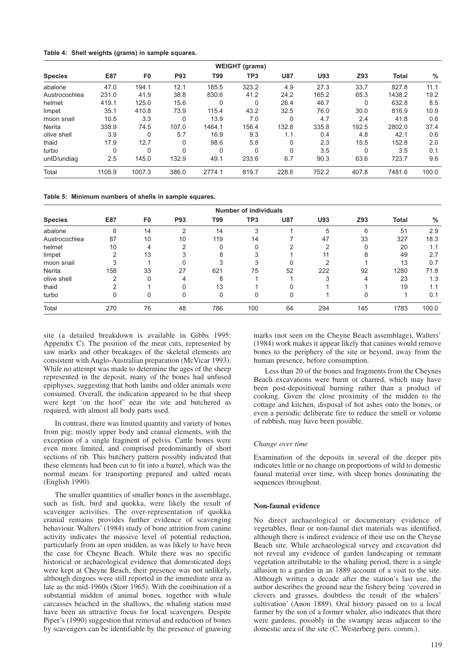|  | Table 4: Shell weights (grams) in sample squares. |  |  |  |
|--|---------------------------------------------------|--|--|--|
|--|---------------------------------------------------|--|--|--|

| <b>WEIGHT</b> (grams) |              |                |       |          |          |            |       |          |        |               |
|-----------------------|--------------|----------------|-------|----------|----------|------------|-------|----------|--------|---------------|
| <b>Species</b>        | E87          | F <sub>0</sub> | P93   | T99      | TP3      | <b>U87</b> | U93   | Z93      | Total  | $\frac{0}{0}$ |
| abalone               | 47.0         | 194.1          | 12.1  | 185.5    | 323.2    | 4.9        | 27.3  | 33.7     | 827.8  | 11.1          |
| Austrocochlea         | 231.0        | 41.9           | 38.8  | 830.6    | 41.2     | 24.2       | 165.2 | 65.3     | 1438.2 | 19.2          |
| helmet                | 419.1        | 125.0          | 15.6  | $\Omega$ | 0        | 26.4       | 46.7  | $\Omega$ | 632.8  | 8.5           |
| limpet                | 35.1         | 410.8          | 73.9  | 115.4    | 43.2     | 32.5       | 76.0  | 30.0     | 816.9  | 10.9          |
| moon snail            | 10.5         | 3.3            | 0     | 13.9     | 7.0      | 0          | 4.7   | 2.4      | 41.8   | 0.6           |
| Nerita                | 338.9        | 74.5           | 107.0 | 1464.1   | 156.4    | 132.8      | 335.8 | 192.5    | 2802.0 | 37.4          |
| olive shell           | 3.9          | $\Omega$       | 5.7   | 16.9     | 9.3      | 1.1        | 0.4   | 4.8      | 42.1   | 0.6           |
| thaid                 | 17.9         | 12.7           | 0     | 98.6     | 5.8      | 0          | 2.3   | 15.5     | 152.8  | 2.0           |
| turbo                 | $\mathbf{0}$ |                | 0     | $\Omega$ | $\Omega$ | 0          | 3.5   | $\Omega$ | 3.5    | 0.1           |
| unID/undiag           | 2.5          | 145.0          | 132.9 | 49.1     | 233.6    | 6.7        | 90.3  | 63.6     | 723.7  | 9.6           |
| Total                 | 1105.9       | 1007.3         | 386.0 | 2774.1   | 819.7    | 228.6      | 752.2 | 407.8    | 7481.6 | 100.0         |

**Table 5: Minimum numbers of shells in sample squares.**

| <b>Number of individuals</b> |     |                |                |     |     |            |     |          |       |       |
|------------------------------|-----|----------------|----------------|-----|-----|------------|-----|----------|-------|-------|
| <b>Species</b>               | E87 | F <sub>0</sub> | P93            | T99 | TP3 | <b>U87</b> | U93 | Z93      | Total | %     |
| abalone                      | 6   | 14             | $\overline{2}$ | 14  | 3   |            | 5   | 6        | 51    | 2.9   |
| Austrocochlea                | 87  | 10             | 10             | 119 | 14  |            | 47  | 33       | 327   | 18.3  |
| helmet                       | 10  | 4              | ◠              |     |     |            | ◠   |          | 20    | 1.1   |
| limpet                       |     | 13             | 3              |     |     |            |     | 8        | 49    | 2.7   |
| moon snail                   |     |                | 0              |     | 3   |            | ◠   |          | 13    | 0.7   |
| Nerita                       | 158 | 33             | 27             | 621 | 75  | 52         | 222 | 92       | 1280  | 71.8  |
| olive shell                  | ◠   |                | 4              | 8   |     |            | 3   | 4        | 23    | 1.3   |
| thaid                        |     |                | 0              | 13  |     |            |     |          | 19    | 1.1   |
| turbo                        |     |                | 0              | 0   | 0   | 0          |     | $\Omega$ |       | 0.1   |
| Total                        | 270 | 76             | 48             | 786 | 100 | 64         | 294 | 145      | 1783  | 100.0 |

site (a detailed breakdown is available in Gibbs 1995: Appendix C). The position of the meat cuts, represented by saw marks and other breakages of the skeletal elements are consistent with Anglo-Australian preparation (McVicar 1993). While no attempt was made to determine the ages of the sheep represented in the deposit, many of the bones had unfused epiphyses, suggesting that both lambs and older animals were consumed. Overall, the indication appeared to be that sheep were kept 'on the hoof' near the site and butchered as required, with almost all body parts used.

In contrast, there was limited quantity and variety of bones from pig; mostly upper body and cranial elements, with the exception of a single fragment of pelvis. Cattle bones were even more limited, and comprised predominantly of short sections of rib. This butchery pattern possibly indicated that these elements had been cut to fit into a barrel, which was the normal means for transporting prepared and salted meats (English 1990).

The smaller quantities of smaller bones in the assemblage, such as fish, bird and quokka, were likely the result of scavenger activities. The over-representation of quokka cranial remains provides further evidence of scavenging behaviour. Walters' (1984) study of bone attrition from canine activity indicates the massive level of potential reduction, particularly from an open midden, as was likely to have been the case for Cheyne Beach. While there was no specific historical or archaeological evidence that domesticated dogs were kept at Cheyne Beach, their presence was not unlikely, although dingoes were still reported in the immediate area as late as the mid-1960s (Storr 1965). With the combination of a substantial midden of animal bones, together with whale carcasses beached in the shallows, the whaling station must have been an attractive focus for local scavengers. Despite Piper's (1990) suggestion that removal and reduction of bones by scavengers can be identifiable by the presence of gnawing

marks (not seen on the Cheyne Beach assemblage), Walters' (1984) work makes it appear likely that canines would remove bones to the periphery of the site or beyond, away from the human presence, before consumption.

Less than 20 of the bones and fragments from the Cheynes Beach excavations were burnt or charred, which may have been post-depositional burning rather than a product of cooking. Given the close proximity of the midden to the cottage and kitchen, disposal of hot ashes onto the bones, or even a periodic deliberate fire to reduce the smell or volume of rubbish, may have been possible.

### *Change over time*

Examination of the deposits in several of the deeper pits indicates little or no change on proportions of wild to domestic faunal material over time, with sheep bones dominating the sequences throughout.

#### **Non-faunal evidence**

No direct archaeological or documentary evidence of vegetables, flour or non-faunal diet materials was identified, although there is indirect evidence of their use on the Cheyne Beach site. While archaeological survey and excavation did not reveal any evidence of garden landscaping or remnant vegetation attributable to the whaling period, there is a single allusion to a garden in an 1889 account of a visit to the site. Although written a decade after the station's last use, the author describes the ground near the fishery being 'covered in clovers and grasses, doubtless the result of the whalers' cultivation' (Anon 1889). Oral history passed on to a local farmer by the son of a former whaler, also indicates that there were gardens, possibly in the swampy areas adjacent to the domestic area of the site (C. Westerberg pers. comm.).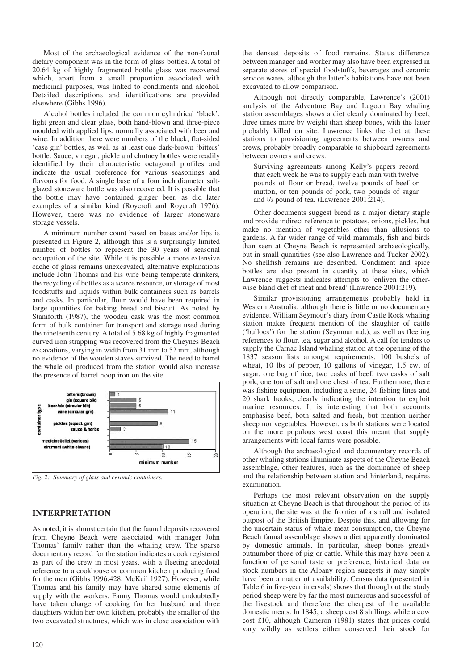Most of the archaeological evidence of the non-faunal dietary component was in the form of glass bottles. A total of 20.64 kg of highly fragmented bottle glass was recovered which, apart from a small proportion associated with medicinal purposes, was linked to condiments and alcohol. Detailed descriptions and identifications are provided elsewhere (Gibbs 1996).

Alcohol bottles included the common cylindrical 'black', light green and clear glass, both hand-blown and three-piece moulded with applied lips, normally associated with beer and wine. In addition there were numbers of the black, flat-sided 'case gin' bottles, as well as at least one dark-brown 'bitters' bottle. Sauce, vinegar, pickle and chutney bottles were readily identified by their characteristic octagonal profiles and indicate the usual preference for various seasonings and flavours for food. A single base of a four inch diameter saltglazed stoneware bottle was also recovered. It is possible that the bottle may have contained ginger beer, as did later examples of a similar kind (Roycroft and Roycroft 1976). However, there was no evidence of larger stoneware storage vessels.

A minimum number count based on bases and/or lips is presented in Figure 2, although this is a surprisingly limited number of bottles to represent the 30 years of seasonal occupation of the site. While it is possible a more extensive cache of glass remains unexcavated, alternative explanations include John Thomas and his wife being temperate drinkers, the recycling of bottles as a scarce resource, or storage of most foodstuffs and liquids within bulk containers such as barrels and casks. In particular, flour would have been required in large quantities for baking bread and biscuit. As noted by Staniforth (1987), the wooden cask was the most common form of bulk container for transport and storage used during the nineteenth century. A total of 5.68 kg of highly fragmented curved iron strapping was recovered from the Cheynes Beach excavations, varying in width from 31 mm to 52 mm, although no evidence of the wooden staves survived. The need to barrel the whale oil produced from the station would also increase the presence of barrel hoop iron on the site.



*Fig. 2: Summary of glass and ceramic containers.*

# **INTERPRETATION**

As noted, it is almost certain that the faunal deposits recovered from Cheyne Beach were associated with manager John Thomas' family rather than the whaling crew. The sparse documentary record for the station indicates a cook registered as part of the crew in most years, with a fleeting anecdotal reference to a cookhouse or common kitchen producing food for the men (Gibbs 1996:428; McKail 1927). However, while Thomas and his family may have shared some elements of supply with the workers, Fanny Thomas would undoubtedly have taken charge of cooking for her husband and three daughters within her own kitchen, probably the smaller of the two excavated structures, which was in close association with

the densest deposits of food remains. Status difference between manager and worker may also have been expressed in separate stores of special foodstuffs, beverages and ceramic service wares, although the latter's habitations have not been excavated to allow comparison.

Although not directly comparable, Lawrence's (2001) analysis of the Adventure Bay and Lagoon Bay whaling station assemblages shows a diet clearly dominated by beef, three times more by weight than sheep bones, with the latter probably killed on site. Lawrence links the diet at these stations to provisioning agreements between owners and crews, probably broadly comparable to shipboard agreements between owners and crews:

Surviving agreements among Kelly's papers record that each week he was to supply each man with twelve pounds of flour or bread, twelve pounds of beef or mutton, or ten pounds of pork, two pounds of sugar and 1/3 pound of tea. (Lawrence 2001:214).

Other documents suggest bread as a major dietary staple and provide indirect reference to potatoes, onions, pickles, but make no mention of vegetables other than allusions to gardens. A far wider range of wild mammals, fish and birds than seen at Cheyne Beach is represented archaeologically, but in small quantities (see also Lawrence and Tucker 2002). No shellfish remains are described. Condiment and spice bottles are also present in quantity at these sites, which Lawrence suggests indicates attempts to 'enliven the otherwise bland diet of meat and bread' (Lawrence 2001:219).

Similar provisioning arrangements probably held in Western Australia, although there is little or no documentary evidence. William Seymour's diary from Castle Rock whaling station makes frequent mention of the slaughter of cattle ('bullocs') for the station (Seymour n.d.), as well as fleeting references to flour, tea, sugar and alcohol. A call for tenders to supply the Carnac Island whaling station at the opening of the 1837 season lists amongst requirements: 100 bushels of wheat, 10 lbs of pepper, 10 gallons of vinegar, 1.5 cwt of sugar, one bag of rice, two casks of beef, two casks of salt pork, one ton of salt and one chest of tea. Furthermore, there was fishing equipment including a seine, 24 fishing lines and 20 shark hooks, clearly indicating the intention to exploit marine resources. It is interesting that both accounts emphasise beef, both salted and fresh, but mention neither sheep nor vegetables. However, as both stations were located on the more populous west coast this meant that supply arrangements with local farms were possible.

Although the archaeological and documentary records of other whaling stations illuminate aspects of the Cheyne Beach assemblage, other features, such as the dominance of sheep and the relationship between station and hinterland, requires examination.

Perhaps the most relevant observation on the supply situation at Cheyne Beach is that throughout the period of its operation, the site was at the frontier of a small and isolated outpost of the British Empire. Despite this, and allowing for the uncertain status of whale meat consumption, the Cheyne Beach faunal assemblage shows a diet apparently dominated by domestic animals. In particular, sheep bones greatly outnumber those of pig or cattle. While this may have been a function of personal taste or preference, historical data on stock numbers in the Albany region suggests it may simply have been a matter of availability. Census data (presented in Table 6 in five-year intervals) shows that throughout the study period sheep were by far the most numerous and successful of the livestock and therefore the cheapest of the available domestic meats. In 1845, a sheep cost 8 shillings while a cow cost £10, although Cameron (1981) states that prices could vary wildly as settlers either conserved their stock for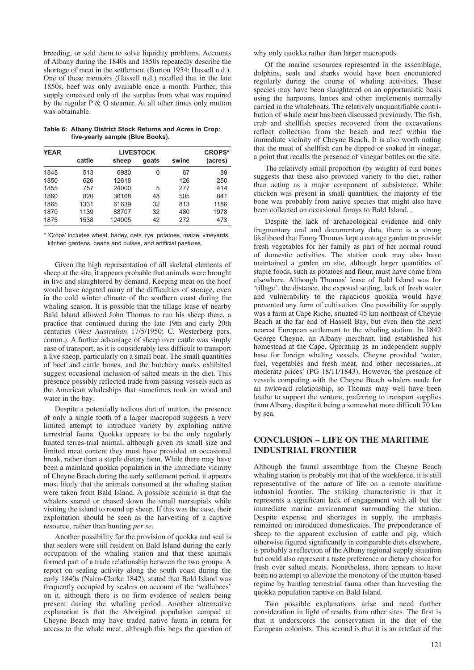breeding, or sold them to solve liquidity problems. Accounts of Albany during the 1840s and 1850s repeatedly describe the shortage of meat in the settlement (Burton 1954; Hassell n.d.). One of these memoirs (Hassell n.d.) recalled that in the late 1850s, beef was only available once a month. Further, this supply consisted only of the surplus from what was required by the regular P & O steamer. At all other times only mutton was obtainable.

**Table 6: Albany District Stock Returns and Acres in Crop: five-yearly sample (Blue Books).**

| <b>YEAR</b> |        | <b>LIVESTOCK</b> |       |       |         |  |  |  |  |  |
|-------------|--------|------------------|-------|-------|---------|--|--|--|--|--|
|             | cattle | sheep            | goats | swine | (acres) |  |  |  |  |  |
| 1845        | 513    | 6980             | 0     | 67    | 89      |  |  |  |  |  |
| 1850        | 626    | 12618            |       | 126   | 250     |  |  |  |  |  |
| 1855        | 757    | 24000            | 5     | 277   | 414     |  |  |  |  |  |
| 1860        | 820    | 36168            | 48    | 505   | 841     |  |  |  |  |  |
| 1865        | 1331   | 61639            | 32    | 813   | 1186    |  |  |  |  |  |
| 1870        | 1139   | 88707            | 32    | 480   | 1978    |  |  |  |  |  |
| 1875        | 1538   | 124005           | 42    | 272   | 473     |  |  |  |  |  |

\* 'Crops' includes wheat, barley, oats, rye, potatoes, maize, vineyards, kitchen gardens, beans and pulses, and artificial pastures.

Given the high representation of all skeletal elements of sheep at the site, it appears probable that animals were brought in live and slaughtered by demand. Keeping meat on the hoof would have negated many of the difficulties of storage, even in the cold winter climate of the southern coast during the whaling season. It is possible that the tillage lease of nearby Bald Island allowed John Thomas to run his sheep there, a practice that continued during the late 19th and early 20th centuries (*West Australian* 17/5/1950; C. Westerberg pers. comm.). A further advantage of sheep over cattle was simply ease of transport, as it is considerably less difficult to transport a live sheep, particularly on a small boat. The small quantities of beef and cattle bones, and the butchery marks exhibited suggest occasional inclusion of salted meats in the diet. This presence possibly reflected trade from passing vessels such as the American whaleships that sometimes took on wood and water in the bay.

Despite a potentially tedious diet of mutton, the presence of only a single tooth of a larger macropod suggests a very limited attempt to introduce variety by exploiting native terrestrial fauna. Quokka appears to be the only regularly hunted terres-trial animal, although given its small size and limited meat content they must have provided an occasional break, rather than a staple dietary item. While there may have been a mainland quokka population in the immediate vicinity of Cheyne Beach during the early settlement period, it appears most likely that the animals consumed at the whaling station were taken from Bald Island. A possible scenario is that the whalers snared or chased down the small marsupials while visiting the island to round up sheep. If this was the case, their exploitation should be seen as the harvesting of a captive resource, rather than hunting *per se*.

Another possibility for the provision of quokka and seal is that sealers were still resident on Bald Island during the early occupation of the whaling station and that these animals formed part of a trade relationship between the two groups. A report on sealing activity along the south coast during the early 1840s (Nairn-Clarke 1842), stated that Bald Island was frequently occupied by sealers on account of the 'wallabees' on it, although there is no firm evidence of sealers being present during the whaling period. Another alternative explanation is that the Aboriginal population camped at Cheyne Beach may have traded native fauna in return for access to the whale meat, although this begs the question of why only quokka rather than larger macropods.

Of the marine resources represented in the assemblage, dolphins, seals and sharks would have been encountered regularly during the course of whaling activities. These species may have been slaughtered on an opportunistic basis using the harpoons, lances and other implements normally carried in the whaleboats. The relatively unquantifiable contribution of whale meat has been discussed previously. The fish, crab and shellfish species recovered from the excavations reflect collection from the beach and reef within the immediate vicinity of Cheyne Beach. It is also worth noting that the meat of shellfish can be dipped or soaked in vinegar, a point that recalls the presence of vinegar bottles on the site.

The relatively small proportion (by weight) of bird bones suggests that these also provided variety to the diet, rather than acting as a major component of subsistence. While chicken was present in small quantities, the majority of the bone was probably from native species that might also have been collected on occasional forays to Bald Island. .

Despite the lack of archaeological evidence and only fragmentary oral and documentary data, there is a strong likelihood that Fanny Thomas kept a cottage garden to provide fresh vegetables for her family as part of her normal round of domestic activities. The station cook may also have maintained a garden on site, although larger quantities of staple foods, such as potatoes and flour, must have come from elsewhere. Although Thomas' lease of Bald Island was for 'tillage', the distance, the exposed setting, lack of fresh water and vulnerability to the rapacious quokka would have prevented any form of cultivation. One possibility for supply was a farm at Cape Riche, situated 45 km northeast of Cheyne Beach at the far end of Hassell Bay, but even then the next nearest European settlement to the whaling station. In 1842 George Cheyne, an Albany merchant, had established his homestead at the Cape. Operating as an independent supply base for foreign whaling vessels, Cheyne provided 'water, fuel, vegetables and fresh meat, and other necessaries...at moderate prices' (PG 18/11/1843). However, the presence of vessels competing with the Cheyne Beach whalers made for an awkward relationship, so Thomas may well have been loathe to support the venture, preferring to transport supplies from Albany, despite it being a somewhat more difficult 70 km by sea.

# **CONCLUSION – LIFE ON THE MARITIME INDUSTRIAL FRONTIER**

Although the faunal assemblage from the Cheyne Beach whaling station is probably not that of the workforce, it is still representative of the nature of life on a remote maritime industrial frontier. The striking characteristic is that it represents a significant lack of engagement with all but the immediate marine environment surrounding the station. Despite expense and shortages in supply, the emphasis remained on introduced domesticates. The preponderance of sheep to the apparent exclusion of cattle and pig, which otherwise figured significantly in comparable diets elsewhere, is probably a reflection of the Albany regional supply situation but could also represent a taste preference or dietary choice for fresh over salted meats. Nonetheless, there appears to have been no attempt to alleviate the monotony of the mutton-based regime by hunting terrestrial fauna other than harvesting the quokka population captive on Bald Island.

Two possible explanations arise and need further consideration in light of results from other sites. The first is that it underscores the conservatism in the diet of the European colonists. This second is that it is an artefact of the